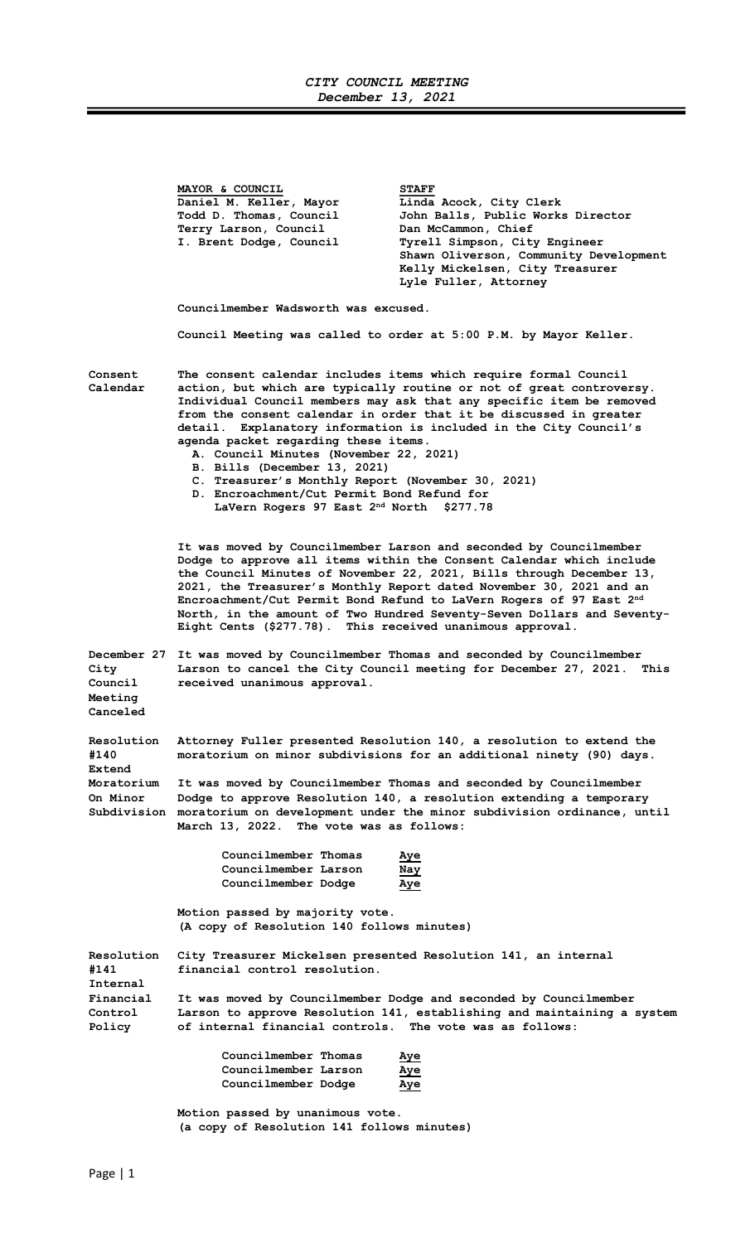## CITY COUNCIL MEETING December 13, 2021

Ξ

|                                        | MAYOR & COUNCIL<br>Daniel M. Keller, Mayor<br>Todd D. Thomas, Council<br>Terry Larson, Council<br>I. Brent Dodge, Council                                                                                                                                                                                                                                                                                                                                                                                                                                                                                                                | <b>STAFF</b><br>Linda Acock, City Clerk<br>John Balls, Public Works Director<br>Dan McCammon, Chief<br>Tyrell Simpson, City Engineer<br>Shawn Oliverson, Community Development<br>Kelly Mickelsen, City Treasurer<br>Lyle Fuller, Attorney |  |
|----------------------------------------|------------------------------------------------------------------------------------------------------------------------------------------------------------------------------------------------------------------------------------------------------------------------------------------------------------------------------------------------------------------------------------------------------------------------------------------------------------------------------------------------------------------------------------------------------------------------------------------------------------------------------------------|--------------------------------------------------------------------------------------------------------------------------------------------------------------------------------------------------------------------------------------------|--|
|                                        | Councilmember Wadsworth was excused.                                                                                                                                                                                                                                                                                                                                                                                                                                                                                                                                                                                                     |                                                                                                                                                                                                                                            |  |
|                                        | Council Meeting was called to order at 5:00 P.M. by Mayor Keller.                                                                                                                                                                                                                                                                                                                                                                                                                                                                                                                                                                        |                                                                                                                                                                                                                                            |  |
| Consent<br>Calendar                    | The consent calendar includes items which require formal Council<br>action, but which are typically routine or not of great controversy.<br>Individual Council members may ask that any specific item be removed<br>from the consent calendar in order that it be discussed in greater<br>detail. Explanatory information is included in the City Council's<br>agenda packet regarding these items.<br>A. Council Minutes (November 22, 2021)<br>B. Bills (December 13, 2021)<br>C. Treasurer's Monthly Report (November 30, 2021)<br>D. Encroachment/Cut Permit Bond Refund for<br>LaVern Rogers 97 East 2 <sup>nd</sup> North \$277.78 |                                                                                                                                                                                                                                            |  |
|                                        | It was moved by Councilmember Larson and seconded by Councilmember<br>Dodge to approve all items within the Consent Calendar which include<br>the Council Minutes of November 22, 2021, Bills through December 13,<br>2021, the Treasurer's Monthly Report dated November 30, 2021 and an<br>Encroachment/Cut Permit Bond Refund to LaVern Rogers of 97 East 2nd<br>North, in the amount of Two Hundred Seventy-Seven Dollars and Seventy-<br>Eight Cents (\$277.78). This received unanimous approval.                                                                                                                                  |                                                                                                                                                                                                                                            |  |
| City<br>Council<br>Meeting<br>Canceled | December 27 It was moved by Councilmember Thomas and seconded by Councilmember<br>Larson to cancel the City Council meeting for December 27, 2021.<br>This<br>received unanimous approval.                                                                                                                                                                                                                                                                                                                                                                                                                                               |                                                                                                                                                                                                                                            |  |
| Resolution<br>#140<br>Extend           | Attorney Fuller presented Resolution 140, a resolution to extend the<br>moratorium on minor subdivisions for an additional ninety (90) days.<br>It was moved by Councilmember Thomas and seconded by Councilmember<br>Dodge to approve Resolution 140, a resolution extending a temporary<br>moratorium on development under the minor subdivision ordinance, until<br>March 13, 2022. The vote was as follows:                                                                                                                                                                                                                          |                                                                                                                                                                                                                                            |  |
| Moratorium<br>On Minor<br>Subdivision  |                                                                                                                                                                                                                                                                                                                                                                                                                                                                                                                                                                                                                                          |                                                                                                                                                                                                                                            |  |
|                                        | Councilmember Thomas<br>Councilmember Larson<br>Councilmember Dodge                                                                                                                                                                                                                                                                                                                                                                                                                                                                                                                                                                      | Aye<br><u>Nay</u><br>Aye                                                                                                                                                                                                                   |  |
|                                        | Motion passed by majority vote.<br>(A copy of Resolution 140 follows minutes)                                                                                                                                                                                                                                                                                                                                                                                                                                                                                                                                                            |                                                                                                                                                                                                                                            |  |
| Resolution<br>#141<br>Internal         | City Treasurer Mickelsen presented Resolution 141, an internal<br>financial control resolution.                                                                                                                                                                                                                                                                                                                                                                                                                                                                                                                                          |                                                                                                                                                                                                                                            |  |
| Financial<br>Control<br>Policy         | It was moved by Councilmember Dodge and seconded by Councilmember<br>Larson to approve Resolution 141, establishing and maintaining a system<br>of internal financial controls. The vote was as follows:                                                                                                                                                                                                                                                                                                                                                                                                                                 |                                                                                                                                                                                                                                            |  |
|                                        | Councilmember Thomas<br>Councilmember Larson<br>Councilmember Dodge                                                                                                                                                                                                                                                                                                                                                                                                                                                                                                                                                                      | Aye<br>Aye<br>Aye                                                                                                                                                                                                                          |  |
|                                        | Motion passed by unanimous vote.<br>(a copy of Resolution 141 follows minutes)                                                                                                                                                                                                                                                                                                                                                                                                                                                                                                                                                           |                                                                                                                                                                                                                                            |  |